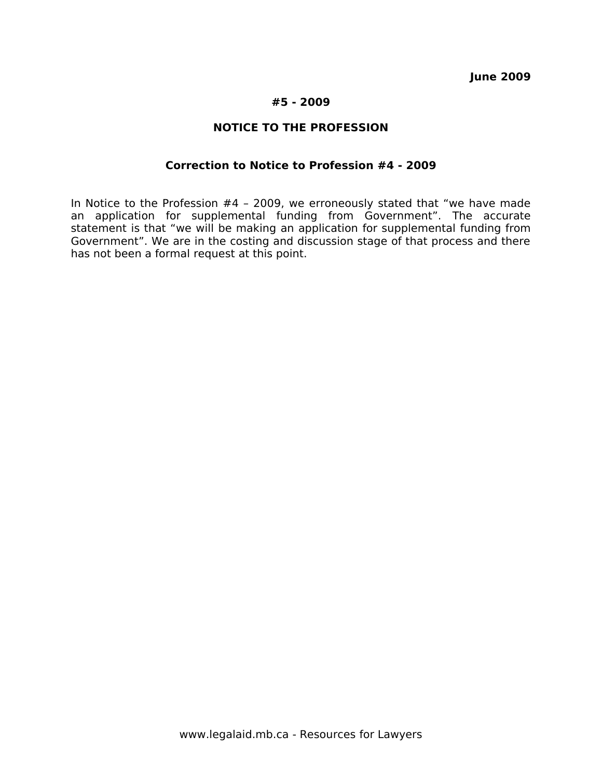**June 2009**

## **#5 - 2009**

# **NOTICE TO THE PROFESSION**

#### **Correction to Notice to Profession #4 - 2009**

In Notice to the Profession #4 – 2009, we erroneously stated that "we have made an application for supplemental funding from Government". The accurate statement is that "we will be making an application for supplemental funding from Government". We are in the costing and discussion stage of that process and there has not been a formal request at this point.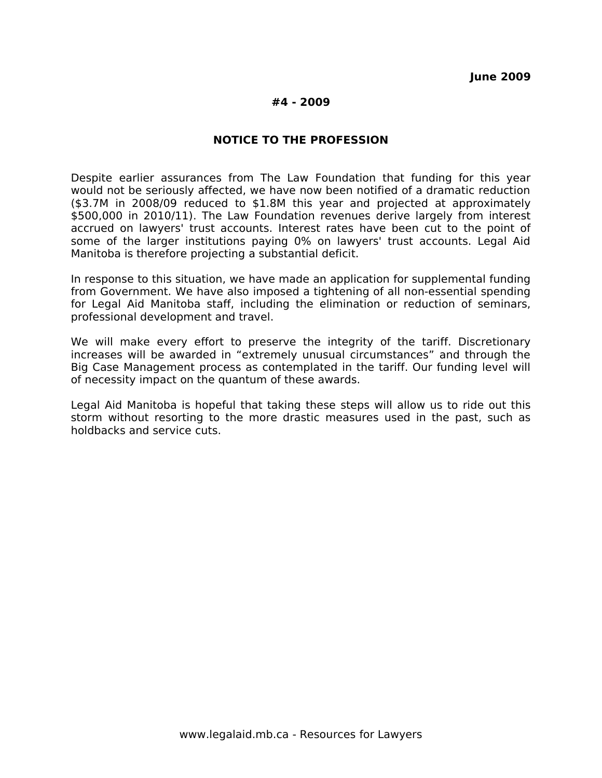#### **#4 - 2009**

## **NOTICE TO THE PROFESSION**

Despite earlier assurances from The Law Foundation that funding for this year would not be seriously affected, we have now been notified of a dramatic reduction (\$3.7M in 2008/09 reduced to \$1.8M this year and projected at approximately \$500,000 in 2010/11). The Law Foundation revenues derive largely from interest accrued on lawyers' trust accounts. Interest rates have been cut to the point of some of the larger institutions paying 0% on lawyers' trust accounts. Legal Aid Manitoba is therefore projecting a substantial deficit.

In response to this situation, we have made an application for supplemental funding from Government. We have also imposed a tightening of all non-essential spending for Legal Aid Manitoba staff, including the elimination or reduction of seminars, professional development and travel.

We will make every effort to preserve the integrity of the tariff. Discretionary increases will be awarded in "extremely unusual circumstances" and through the Big Case Management process as contemplated in the tariff. Our funding level will of necessity impact on the quantum of these awards.

Legal Aid Manitoba is hopeful that taking these steps will allow us to ride out this storm without resorting to the more drastic measures used in the past, such as holdbacks and service cuts.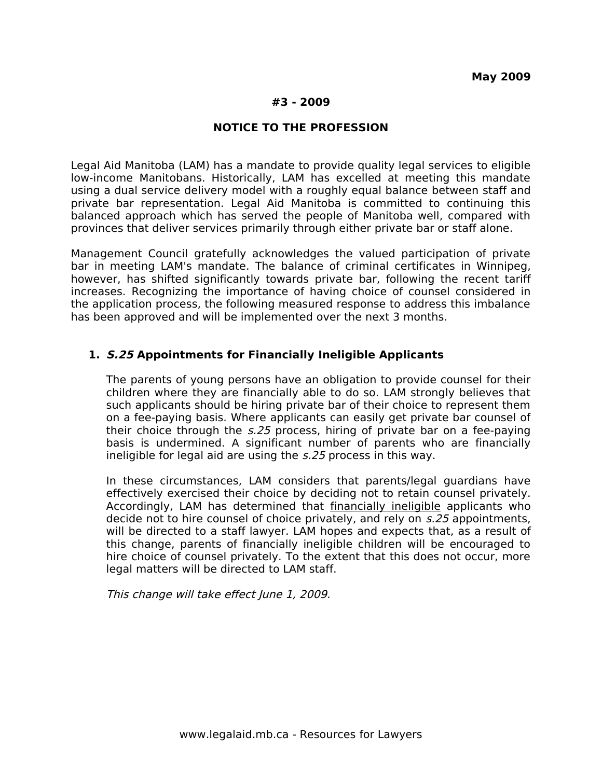## **#3 - 2009**

### **NOTICE TO THE PROFESSION**

Legal Aid Manitoba (LAM) has a mandate to provide quality legal services to eligible low-income Manitobans. Historically, LAM has excelled at meeting this mandate using a dual service delivery model with a roughly equal balance between staff and private bar representation. Legal Aid Manitoba is committed to continuing this balanced approach which has served the people of Manitoba well, compared with provinces that deliver services primarily through either private bar or staff alone.

Management Council gratefully acknowledges the valued participation of private bar in meeting LAM's mandate. The balance of criminal certificates in Winnipeg, however, has shifted significantly towards private bar, following the recent tariff increases. Recognizing the importance of having choice of counsel considered in the application process, the following measured response to address this imbalance has been approved and will be implemented over the next 3 months.

## **1. S.25 Appointments for Financially Ineligible Applicants**

The parents of young persons have an obligation to provide counsel for their children where they are financially able to do so. LAM strongly believes that such applicants should be hiring private bar of their choice to represent them on a fee-paying basis. Where applicants can easily get private bar counsel of their choice through the s.25 process, hiring of private bar on a fee-paying basis is undermined. A significant number of parents who are financially ineligible for legal aid are using the s.25 process in this way.

In these circumstances, LAM considers that parents/legal guardians have effectively exercised their choice by deciding not to retain counsel privately. Accordingly, LAM has determined that **financially ineligible** applicants who decide not to hire counsel of choice privately, and rely on s.25 appointments, will be directed to a staff lawyer. LAM hopes and expects that, as a result of this change, parents of financially ineligible children will be encouraged to hire choice of counsel privately. To the extent that this does not occur, more legal matters will be directed to LAM staff.

This change will take effect June 1, 2009.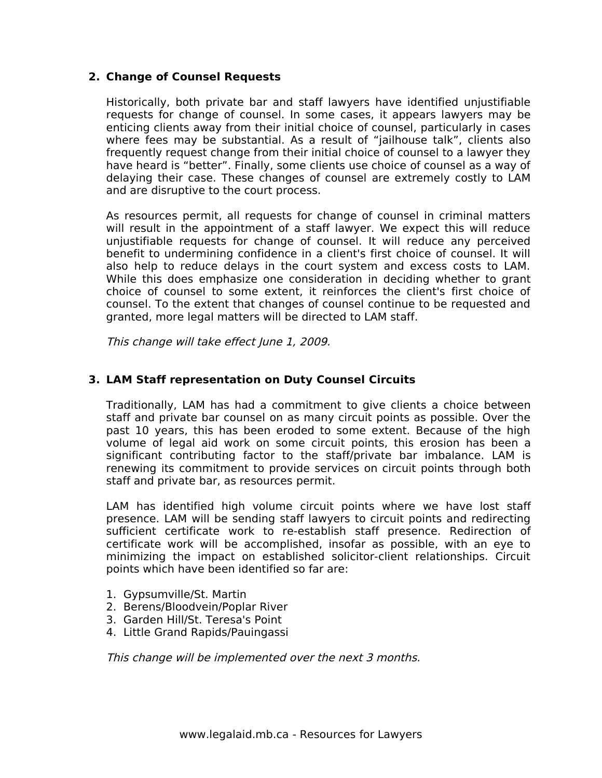# **2. Change of Counsel Requests**

Historically, both private bar and staff lawyers have identified unjustifiable requests for change of counsel. In some cases, it appears lawyers may be enticing clients away from their initial choice of counsel, particularly in cases where fees may be substantial. As a result of "jailhouse talk", clients also frequently request change from their initial choice of counsel to a lawyer they have heard is "better". Finally, some clients use choice of counsel as a way of delaying their case. These changes of counsel are extremely costly to LAM and are disruptive to the court process.

As resources permit, all requests for change of counsel in criminal matters will result in the appointment of a staff lawyer. We expect this will reduce unjustifiable requests for change of counsel. It will reduce any perceived benefit to undermining confidence in a client's first choice of counsel. It will also help to reduce delays in the court system and excess costs to LAM. While this does emphasize one consideration in deciding whether to grant choice of counsel to some extent, it reinforces the client's first choice of counsel. To the extent that changes of counsel continue to be requested and granted, more legal matters will be directed to LAM staff.

This change will take effect June 1, 2009.

# **3. LAM Staff representation on Duty Counsel Circuits**

Traditionally, LAM has had a commitment to give clients a choice between staff and private bar counsel on as many circuit points as possible. Over the past 10 years, this has been eroded to some extent. Because of the high volume of legal aid work on some circuit points, this erosion has been a significant contributing factor to the staff/private bar imbalance. LAM is renewing its commitment to provide services on circuit points through both staff and private bar, as resources permit.

LAM has identified high volume circuit points where we have lost staff presence. LAM will be sending staff lawyers to circuit points and redirecting sufficient certificate work to re-establish staff presence. Redirection of certificate work will be accomplished, insofar as possible, with an eye to minimizing the impact on established solicitor-client relationships. Circuit points which have been identified so far are:

- 1. Gypsumville/St. Martin
- 2. Berens/Bloodvein/Poplar River
- 3. Garden Hill/St. Teresa's Point
- 4. Little Grand Rapids/Pauingassi

This change will be implemented over the next 3 months.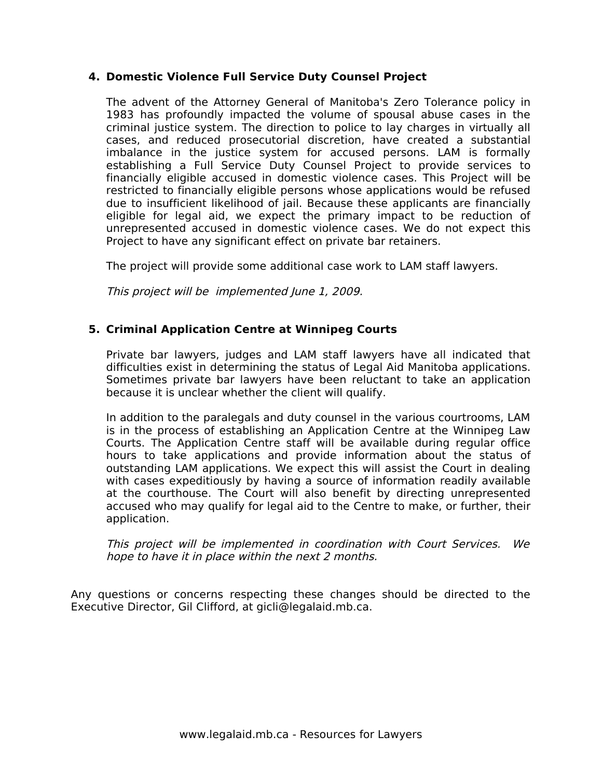# **4. Domestic Violence Full Service Duty Counsel Project**

The advent of the Attorney General of Manitoba's Zero Tolerance policy in 1983 has profoundly impacted the volume of spousal abuse cases in the criminal justice system. The direction to police to lay charges in virtually all cases, and reduced prosecutorial discretion, have created a substantial imbalance in the justice system for accused persons. LAM is formally establishing a Full Service Duty Counsel Project to provide services to financially eligible accused in domestic violence cases. This Project will be restricted to financially eligible persons whose applications would be refused due to insufficient likelihood of jail. Because these applicants are financially eligible for legal aid, we expect the primary impact to be reduction of unrepresented accused in domestic violence cases. We do not expect this Project to have any significant effect on private bar retainers.

The project will provide some additional case work to LAM staff lawyers.

This project will be implemented June 1, 2009.

# **5. Criminal Application Centre at Winnipeg Courts**

Private bar lawyers, judges and LAM staff lawyers have all indicated that difficulties exist in determining the status of Legal Aid Manitoba applications. Sometimes private bar lawyers have been reluctant to take an application because it is unclear whether the client will qualify.

In addition to the paralegals and duty counsel in the various courtrooms, LAM is in the process of establishing an Application Centre at the Winnipeg Law Courts. The Application Centre staff will be available during regular office hours to take applications and provide information about the status of outstanding LAM applications. We expect this will assist the Court in dealing with cases expeditiously by having a source of information readily available at the courthouse. The Court will also benefit by directing unrepresented accused who may qualify for legal aid to the Centre to make, or further, their application.

This project will be implemented in coordination with Court Services. We hope to have it in place within the next 2 months.

Any questions or concerns respecting these changes should be directed to the Executive Director, Gil Clifford, at gicli@legalaid.mb.ca.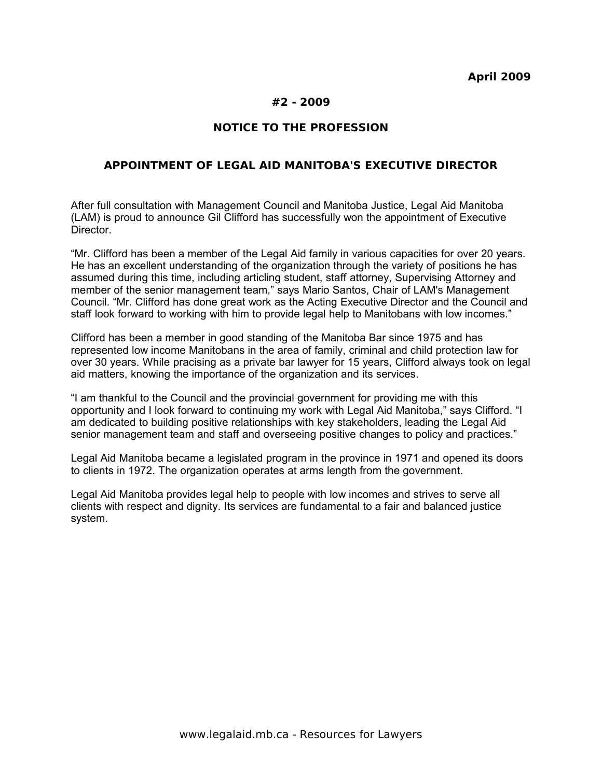## **#2 - 2009**

## **NOTICE TO THE PROFESSION**

### **APPOINTMENT OF LEGAL AID MANITOBA'S EXECUTIVE DIRECTOR**

After full consultation with Management Council and Manitoba Justice, Legal Aid Manitoba (LAM) is proud to announce Gil Clifford has successfully won the appointment of Executive Director.

"Mr. Clifford has been a member of the Legal Aid family in various capacities for over 20 years. He has an excellent understanding of the organization through the variety of positions he has assumed during this time, including articling student, staff attorney, Supervising Attorney and member of the senior management team," says Mario Santos, Chair of LAM's Management Council. "Mr. Clifford has done great work as the Acting Executive Director and the Council and staff look forward to working with him to provide legal help to Manitobans with low incomes."

Clifford has been a member in good standing of the Manitoba Bar since 1975 and has represented low income Manitobans in the area of family, criminal and child protection law for over 30 years. While pracising as a private bar lawyer for 15 years, Clifford always took on legal aid matters, knowing the importance of the organization and its services.

"I am thankful to the Council and the provincial government for providing me with this opportunity and I look forward to continuing my work with Legal Aid Manitoba," says Clifford. "I am dedicated to building positive relationships with key stakeholders, leading the Legal Aid senior management team and staff and overseeing positive changes to policy and practices."

Legal Aid Manitoba became a legislated program in the province in 1971 and opened its doors to clients in 1972. The organization operates at arms length from the government.

Legal Aid Manitoba provides legal help to people with low incomes and strives to serve all clients with respect and dignity. Its services are fundamental to a fair and balanced justice system.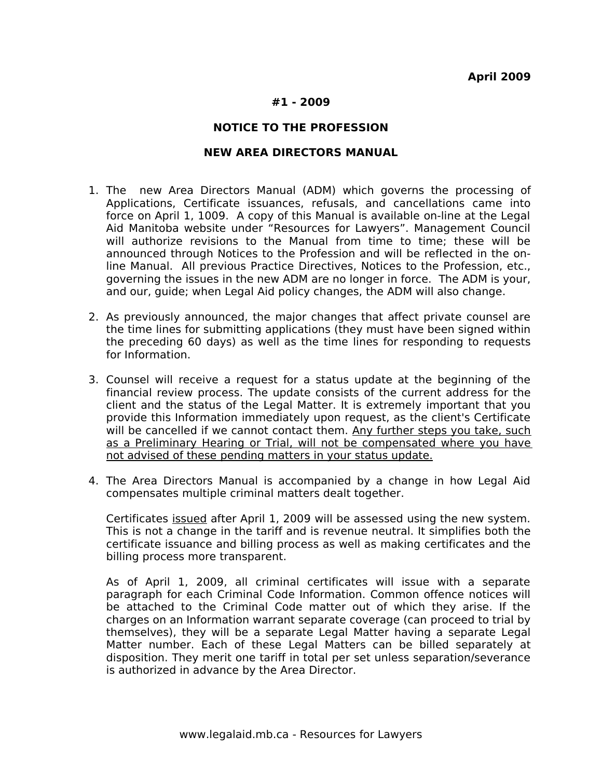### **#1 - 2009**

#### **NOTICE TO THE PROFESSION**

### **NEW AREA DIRECTORS MANUAL**

- 1. The new Area Directors Manual (ADM) which governs the processing of Applications, Certificate issuances, refusals, and cancellations came into force on April 1, 1009. A copy of this Manual is available on-line at the Legal Aid Manitoba website under "Resources for Lawyers". Management Council will authorize revisions to the Manual from time to time; these will be announced through Notices to the Profession and will be reflected in the online Manual. All previous Practice Directives, Notices to the Profession, etc., governing the issues in the new ADM are no longer in force. The ADM is your, and our, guide; when Legal Aid policy changes, the ADM will also change.
- 2. As previously announced, the major changes that affect private counsel are the time lines for submitting applications (they must have been signed within the preceding 60 days) as well as the time lines for responding to requests for Information.
- 3. Counsel will receive a request for a status update at the beginning of the financial review process. The update consists of the current address for the client and the status of the Legal Matter. It is extremely important that you provide this Information immediately upon request, as the client's Certificate will be cancelled if we cannot contact them. Any further steps you take, such as a Preliminary Hearing or Trial, will not be compensated where you have not advised of these pending matters in your status update.
- 4. The Area Directors Manual is accompanied by a change in how Legal Aid compensates multiple criminal matters dealt together.

Certificates issued after April 1, 2009 will be assessed using the new system. This is not a change in the tariff and is revenue neutral. It simplifies both the certificate issuance and billing process as well as making certificates and the billing process more transparent.

As of April 1, 2009, all criminal certificates will issue with a separate paragraph for each Criminal Code Information. Common offence notices will be attached to the Criminal Code matter out of which they arise. If the charges on an Information warrant separate coverage (can proceed to trial by themselves), they will be a separate Legal Matter having a separate Legal Matter number. Each of these Legal Matters can be billed separately at disposition. They merit one tariff in total per set unless separation/severance is authorized in advance by the Area Director.